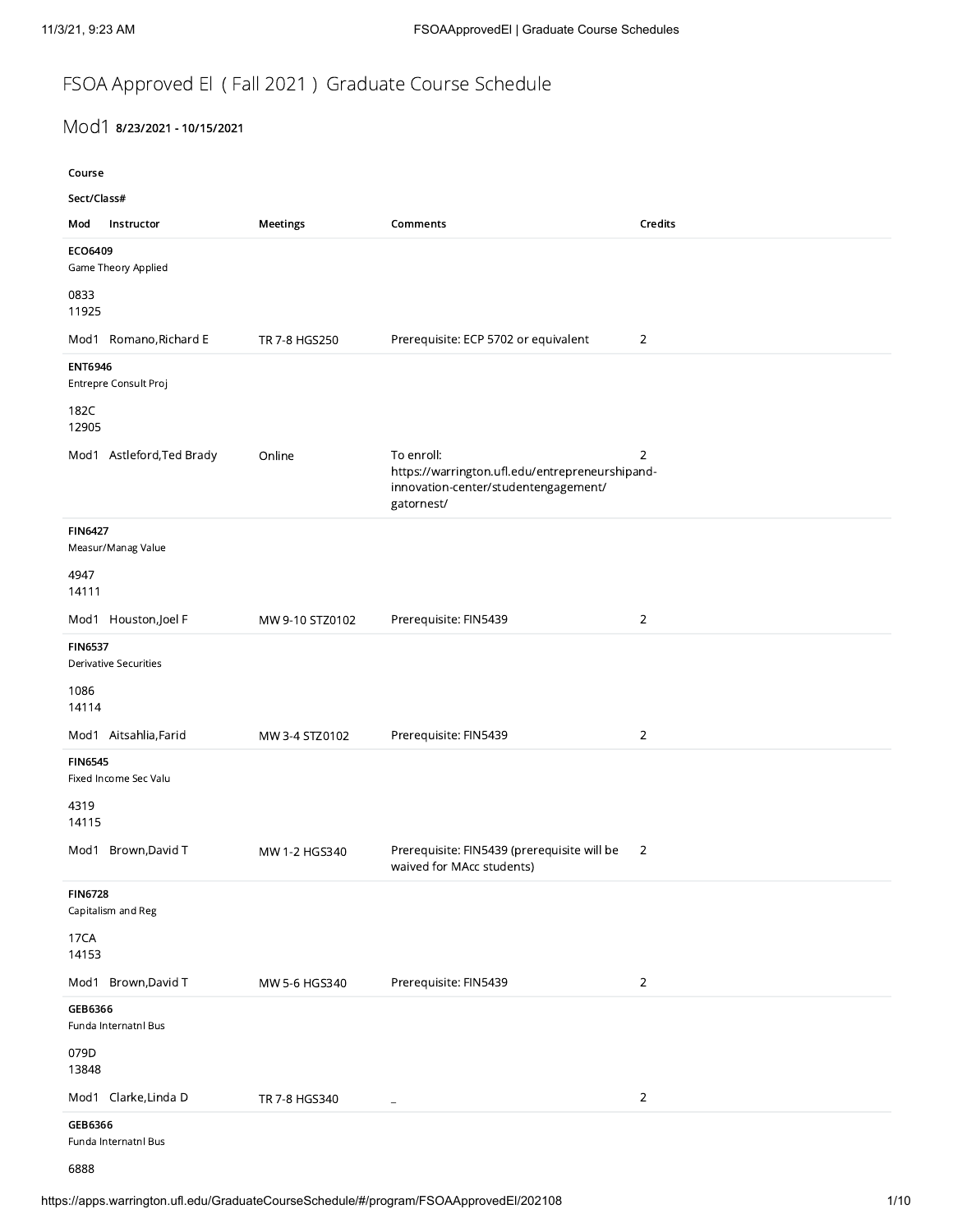## FSOA Approved El ( Fall 2021 ) Graduate Course Schedule

## Mod1 8/23/2021 - 10/15/2021

| ×<br>۰.<br>۰.<br>I<br>I<br>I |
|------------------------------|
|------------------------------|

| /21, 9:23 AM                                          |                 | FSOAApprovedEl   Graduate Course Schedules                                                                          |                |
|-------------------------------------------------------|-----------------|---------------------------------------------------------------------------------------------------------------------|----------------|
|                                                       |                 |                                                                                                                     |                |
| FSOA Approved El (Fall 2021) Graduate Course Schedule |                 |                                                                                                                     |                |
| Mod1 8/23/2021 - 10/15/2021                           |                 |                                                                                                                     |                |
| Course<br>Sect/Class#                                 |                 |                                                                                                                     |                |
| Mod Instructor                                        | Meetings        | Comments                                                                                                            | Credits        |
| ECO6409<br>Game Theory Applied                        |                 |                                                                                                                     |                |
| 0833<br>11925                                         |                 |                                                                                                                     |                |
| Mod1 Romano, Richard E<br><b>ENT6946</b>              | TR 7-8 HGS250   | Prerequisite: ECP 5702 or equivalent                                                                                | $\overline{2}$ |
| Entrepre Consult Proj<br>182C                         |                 |                                                                                                                     |                |
| 12905                                                 |                 |                                                                                                                     |                |
| Mod1 Astleford, Ted Brady                             | Online          | To enroll:<br>https://warrington.ufl.edu/entrepreneurshipand-<br>innovation-center/studentengagement/<br>gatornest/ | $\overline{2}$ |
| <b>FIN6427</b><br>Measur/Manag Value                  |                 |                                                                                                                     |                |
| 4947<br>14111                                         |                 |                                                                                                                     |                |
| Mod1 Houston, Joel F                                  | MW 9-10 STZ0102 | Prerequisite: FIN5439                                                                                               | $\overline{2}$ |
| <b>FIN6537</b><br>Derivative Securities               |                 |                                                                                                                     |                |
| 1086<br>14114                                         |                 |                                                                                                                     |                |
| Mod1 Aitsahlia, Farid                                 | MW 3-4 STZ0102  | Prerequisite: FIN5439                                                                                               | $\overline{2}$ |
| <b>FIN6545</b><br>Fixed Income Sec Valu               |                 |                                                                                                                     |                |
| 4319<br>14115                                         |                 |                                                                                                                     |                |
| Mod1 Brown, David T                                   | MW 1-2 HGS340   | Prerequisite: FIN5439 (prerequisite will be 2<br>waived for MAcc students)                                          |                |
| <b>FIN6728</b><br>Capitalism and Reg                  |                 |                                                                                                                     |                |
| 17CA<br>14153                                         |                 |                                                                                                                     |                |
| Mod1 Brown, David T<br>GEB6366                        | MW 5-6 HGS340   | Prerequisite: FIN5439                                                                                               | $\overline{2}$ |
| Funda Internatnl Bus<br>079D                          |                 |                                                                                                                     |                |
| 13848                                                 |                 |                                                                                                                     |                |
| Mod1 Clarke, Linda D<br>GEB6366                       | TR 7-8 HGS340   | $\sim$                                                                                                              | $\overline{2}$ |
| Funda Internatnl Bus                                  |                 |                                                                                                                     |                |

6888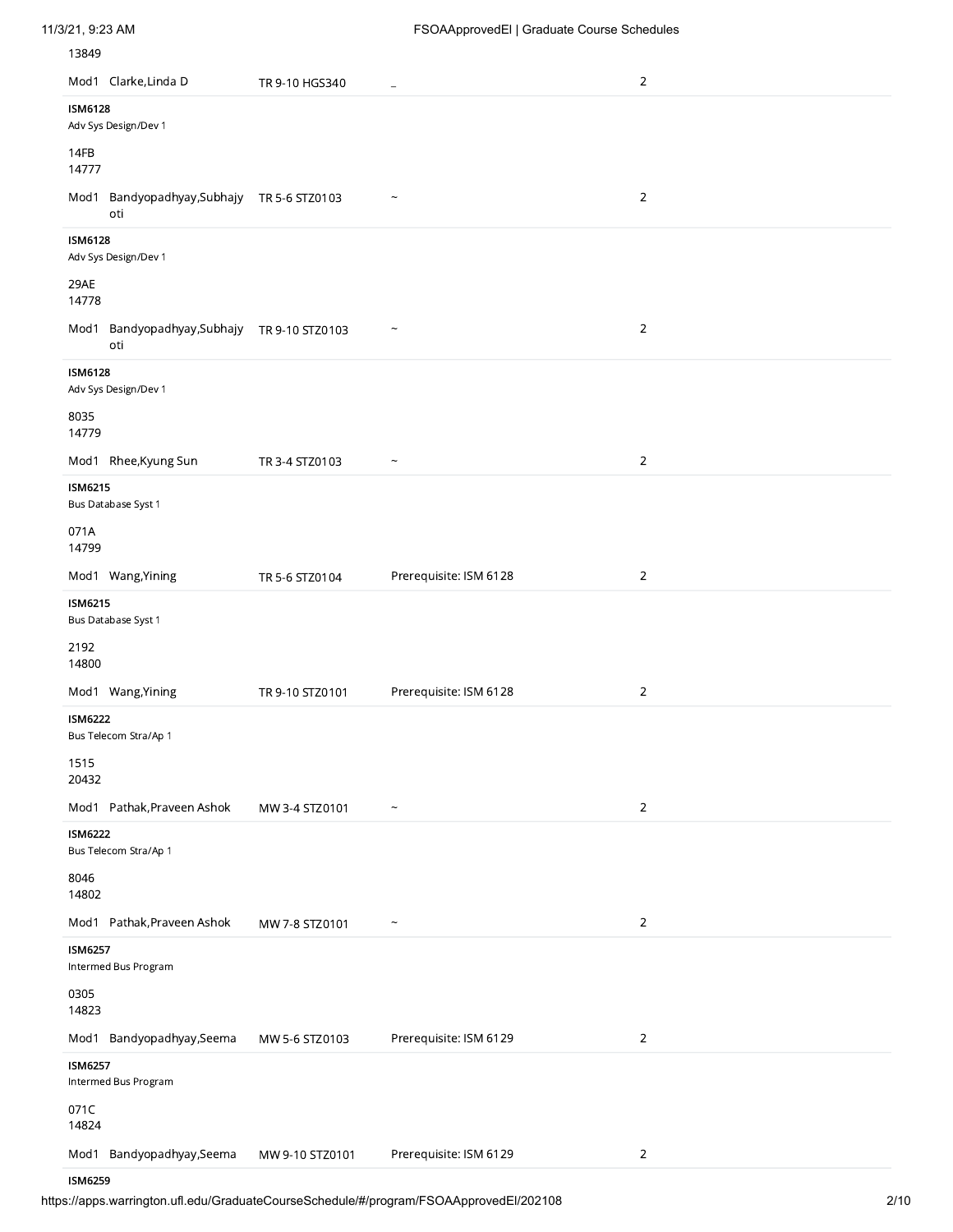| 11/3/21, 9:23 AM |  |
|------------------|--|
|                  |  |

| Mod1 Clarke, Linda D                                 | TR 9-10 HGS340  | ÷,                        | $\overline{2}$ |
|------------------------------------------------------|-----------------|---------------------------|----------------|
| <b>ISM6128</b><br>Adv Sys Design/Dev 1               |                 |                           |                |
| 14FB                                                 |                 |                           |                |
| 14777                                                |                 |                           |                |
| Mod1 Bandyopadhyay, Subhajy TR 5-6 STZ0103<br>oti    |                 | $\widetilde{\phantom{m}}$ | $\overline{2}$ |
| <b>ISM6128</b><br>Adv Sys Design/Dev 1               |                 |                           |                |
| 29AE<br>14778                                        |                 |                           |                |
| Bandyopadhyay,Subhajy TR 9-10 STZ0103<br>Mod1<br>oti |                 | $\widetilde{\phantom{m}}$ | $\overline{2}$ |
| <b>ISM6128</b><br>Adv Sys Design/Dev 1               |                 |                           |                |
| 8035<br>14779                                        |                 |                           |                |
| Mod1 Rhee, Kyung Sun                                 | TR 3-4 STZ0103  | $\widetilde{\phantom{m}}$ | $\overline{2}$ |
| <b>ISM6215</b><br>Bus Database Syst 1<br>071A        |                 |                           |                |
| 14799                                                |                 |                           |                |
| Mod1 Wang, Yining                                    | TR 5-6 STZ0104  | Prerequisite: ISM 6128    | $\overline{2}$ |
| <b>ISM6215</b><br>Bus Database Syst 1                |                 |                           |                |
| 2192<br>14800                                        |                 |                           |                |
| Mod1 Wang, Yining                                    | TR 9-10 STZ0101 | Prerequisite: ISM 6128    | $\overline{2}$ |
| <b>ISM6222</b><br>Bus Telecom Stra/Ap 1              |                 |                           |                |
| 1515<br>20432                                        |                 |                           |                |
| Mod1 Pathak, Praveen Ashok                           | MW 3-4 STZ0101  |                           | $\overline{2}$ |
| <b>ISM6222</b><br>Bus Telecom Stra/Ap 1              |                 |                           |                |
| 8046<br>14802                                        |                 |                           |                |
| Mod1 Pathak, Praveen Ashok                           | MW 7-8 STZ0101  | $\widetilde{\phantom{m}}$ | $\overline{2}$ |
| <b>ISM6257</b><br>Intermed Bus Program               |                 |                           |                |
| 0305<br>14823                                        |                 |                           |                |
| Mod1 Bandyopadhyay, Seema                            | MW 5-6 STZ0103  | Prerequisite: ISM 6129    | $\overline{2}$ |
| <b>ISM6257</b><br>Intermed Bus Program               |                 |                           |                |
|                                                      |                 |                           |                |
| 071C<br>14824                                        |                 |                           |                |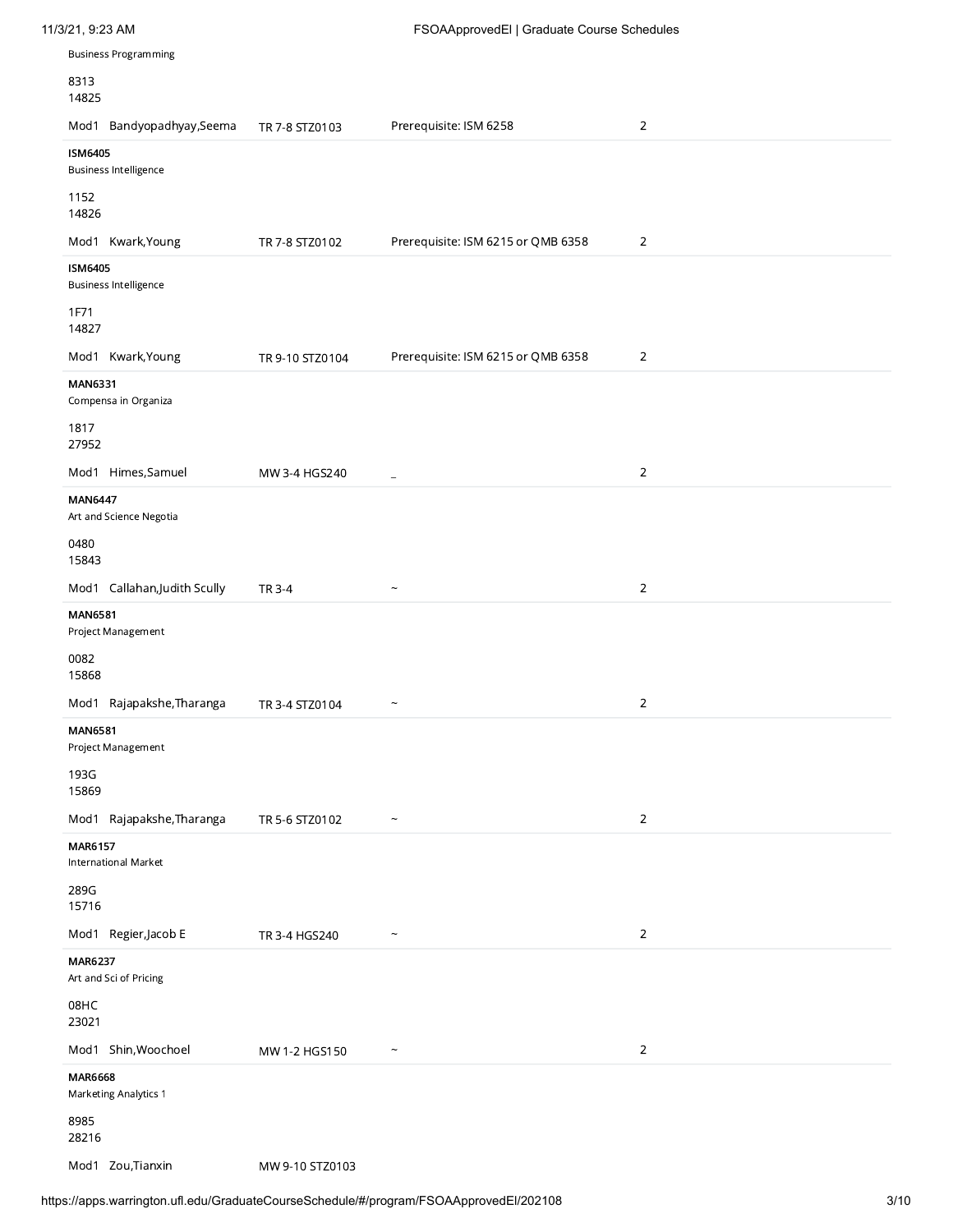| 8313<br>14825                                  |                 |                                    |                |  |
|------------------------------------------------|-----------------|------------------------------------|----------------|--|
| Mod1 Bandyopadhyay, Seema                      | TR 7-8 STZ0103  | Prerequisite: ISM 6258             | $\overline{2}$ |  |
| <b>ISM6405</b>                                 |                 |                                    |                |  |
| <b>Business Intelligence</b>                   |                 |                                    |                |  |
| 1152<br>14826                                  |                 |                                    |                |  |
| Mod1 Kwark, Young                              | TR 7-8 STZ0102  | Prerequisite: ISM 6215 or QMB 6358 | $\overline{2}$ |  |
| <b>ISM6405</b><br><b>Business Intelligence</b> |                 |                                    |                |  |
| 1F71<br>14827                                  |                 |                                    |                |  |
| Mod1 Kwark, Young                              | TR 9-10 STZ0104 | Prerequisite: ISM 6215 or QMB 6358 | $\overline{2}$ |  |
| <b>MAN6331</b>                                 |                 |                                    |                |  |
| Compensa in Organiza                           |                 |                                    |                |  |
| 1817<br>27952                                  |                 |                                    |                |  |
| Mod1 Himes, Samuel                             | MW 3-4 HGS240   | $\equiv$                           | $\overline{2}$ |  |
| <b>MAN6447</b><br>Art and Science Negotia      |                 |                                    |                |  |
| 0480<br>15843                                  |                 |                                    |                |  |
| Mod1 Callahan, Judith Scully                   | TR 3-4          | $\widetilde{\phantom{m}}$          | $\overline{2}$ |  |
| <b>MAN6581</b>                                 |                 |                                    |                |  |
| Project Management                             |                 |                                    |                |  |
| 0082<br>15868                                  |                 |                                    |                |  |
| Mod1 Rajapakshe, Tharanga                      | TR 3-4 STZ0104  | $\widetilde{\phantom{m}}$          | $\overline{2}$ |  |
| <b>MAN6581</b><br>Project Management           |                 |                                    |                |  |
| 193G<br>15869                                  |                 |                                    |                |  |
| Mod1 Rajapakshe, Tharanga                      | TR 5-6 STZ0102  | $\widetilde{\phantom{m}}$          | $\overline{2}$ |  |
| MAR6157<br>International Market                |                 |                                    |                |  |
| 289G<br>15716                                  |                 |                                    |                |  |
| Mod1 Regier, Jacob E                           | TR 3-4 HGS240   | $\widetilde{\phantom{m}}$          | $\overline{2}$ |  |
| MAR6237<br>Art and Sci of Pricing              |                 |                                    |                |  |
| 08HC<br>23021                                  |                 |                                    |                |  |
| Mod1 Shin, Woochoel                            | MW 1-2 HGS150   | $\widetilde{\phantom{m}}$          | $\overline{2}$ |  |
| <b>MAR6668</b><br>Marketing Analytics 1        |                 |                                    |                |  |
| 8985<br>28216                                  |                 |                                    |                |  |
|                                                |                 |                                    |                |  |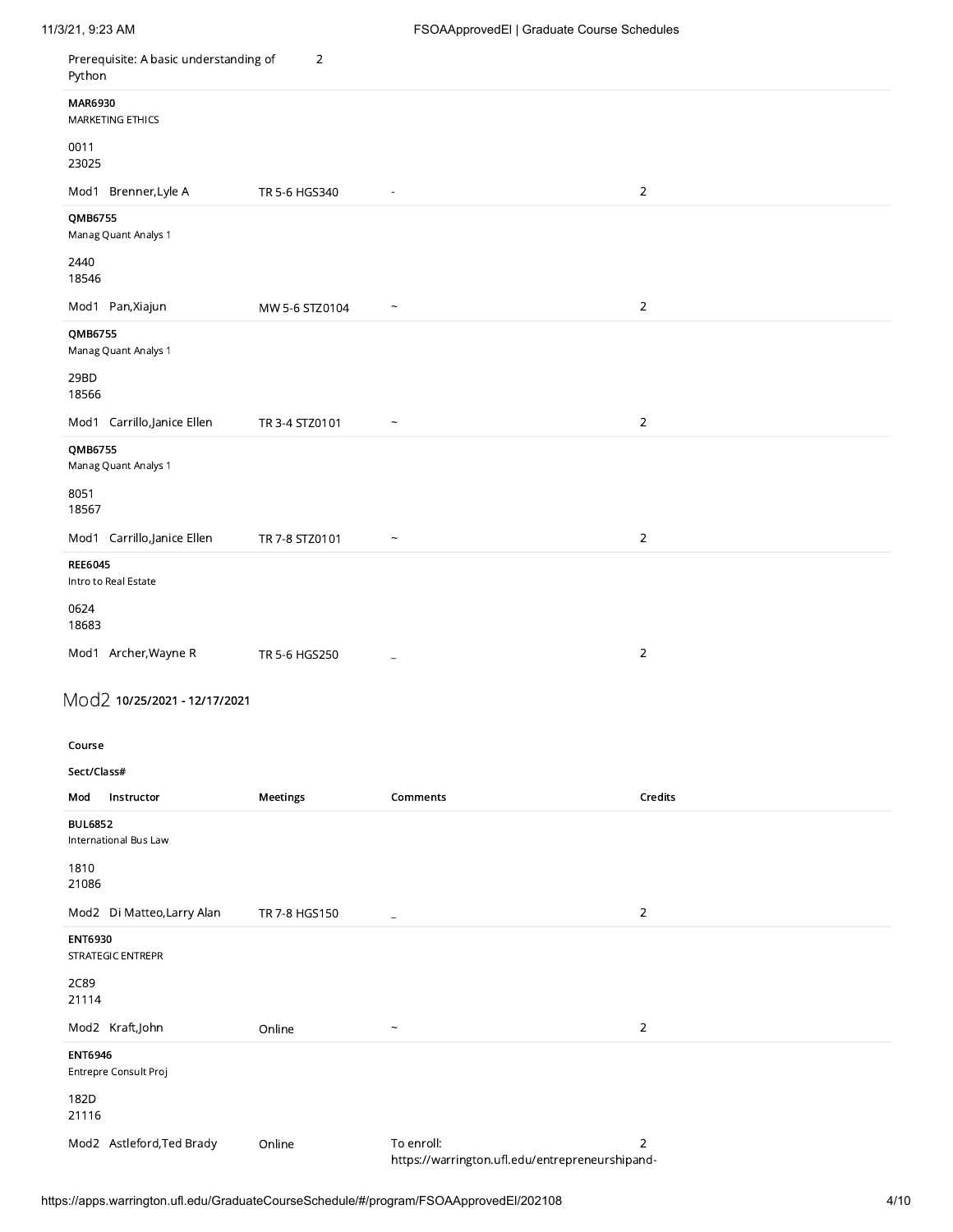| /21, 9:23 AM                                                                              |                | FSOAApprovedEl   Graduate Course Schedules                    |                |  |  |
|-------------------------------------------------------------------------------------------|----------------|---------------------------------------------------------------|----------------|--|--|
| Prerequisite: A basic understanding of 2<br>Python<br>MAR6930<br>MARKETING ETHICS<br>0011 |                |                                                               |                |  |  |
| 23025<br>Mod1 Brenner, Lyle A<br>QMB6755<br>Manag Quant Analys 1                          | TR 5-6 HGS340  | $\sim$ $-$                                                    | $\overline{2}$ |  |  |
| 2440<br>18546<br>Mod1 Pan,Xiajun<br>QMB6755                                               | MW 5-6 STZ0104 | $\sim$ $\sim$                                                 | $\overline{2}$ |  |  |
| Manag Quant Analys 1<br>29BD<br>18566<br>Mod1 Carrillo,Janice Ellen                       | TR 3-4 STZ0101 | $\sim$                                                        | $\overline{2}$ |  |  |
| QMB6755<br>Manag Quant Analys 1<br>8051<br>18567                                          |                |                                                               |                |  |  |
| Mod1 Carrillo, Janice Ellen<br><b>REE6045</b><br>Intro to Real Estate<br>0624             | TR 7-8 STZ0101 | $\widetilde{\phantom{m}}$                                     | $\overline{2}$ |  |  |
| 18683<br>Mod1 Archer, Wayne R<br>Mod2 10/25/2021 - 12/17/2021                             | TR 5-6 HGS250  | $\sim$                                                        | $\overline{2}$ |  |  |
| Course<br>Sect/Class#<br>Mod Instructor                                                   | Meetings       | Comments                                                      | Credits        |  |  |
| <b>BUL6852</b><br>International Bus Law<br>1810<br>21086                                  |                |                                                               |                |  |  |
| Mod2 Di Matteo,Larry Alan<br><b>ENT6930</b><br>STRATEGIC ENTREPR<br>2C89<br>21114         | TR 7-8 HGS150  | $\sim$ $-$                                                    | $\overline{2}$ |  |  |
| Mod2 Kraft,John<br><b>ENT6946</b><br>Entrepre Consult Proj                                | Online         | $\sim$ $\sim$                                                 | $\overline{2}$ |  |  |
| 182D<br>21116<br>Mod2 Astleford, Ted Brady                                                | Online         | To enroll:<br>https://warrington.ufl.edu/entrepreneurshipand- | $\overline{2}$ |  |  |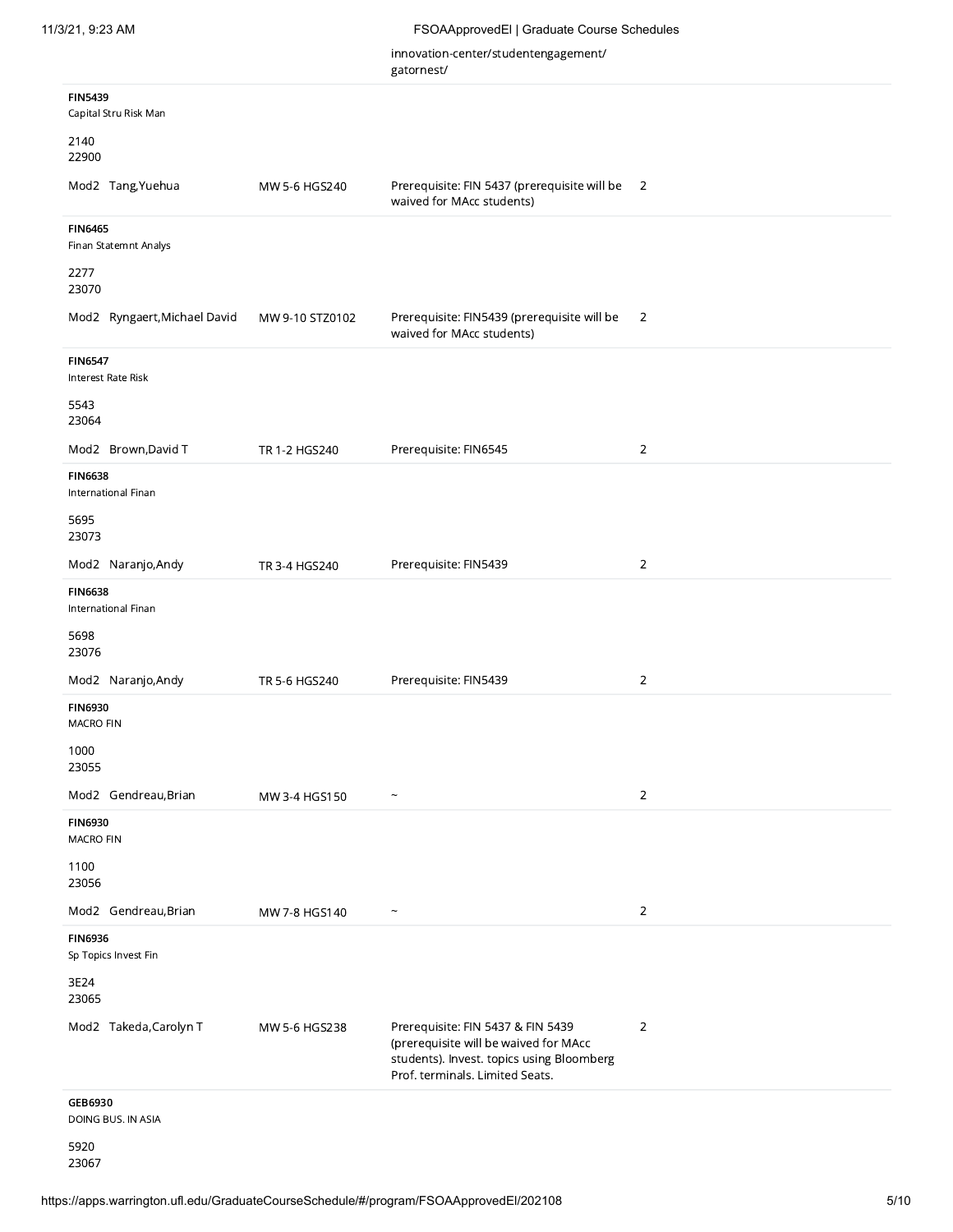ga

| atornest/ |
|-----------|
|-----------|

|                                               |                 | innovation-center/studentengagement/<br>gatornest/                                                                                                         |                          |
|-----------------------------------------------|-----------------|------------------------------------------------------------------------------------------------------------------------------------------------------------|--------------------------|
| <b>FIN5439</b><br>Capital Stru Risk Man       |                 |                                                                                                                                                            |                          |
| 2140<br>22900                                 |                 |                                                                                                                                                            |                          |
| Mod2 Tang, Yuehua                             | MW 5-6 HGS240   | Prerequisite: FIN 5437 (prerequisite will be<br>waived for MAcc students)                                                                                  | $\overline{\phantom{0}}$ |
| <b>FIN6465</b><br>Finan Statemnt Analys       |                 |                                                                                                                                                            |                          |
| 2277<br>23070                                 |                 |                                                                                                                                                            |                          |
| Mod2 Ryngaert, Michael David                  | MW 9-10 STZ0102 | Prerequisite: FIN5439 (prerequisite will be<br>waived for MAcc students)                                                                                   | 2                        |
| <b>FIN6547</b><br><b>Interest Rate Risk</b>   |                 |                                                                                                                                                            |                          |
| 5543<br>23064                                 |                 |                                                                                                                                                            |                          |
| Mod2 Brown, David T                           | TR 1-2 HGS240   | Prerequisite: FIN6545                                                                                                                                      | $\overline{2}$           |
| <b>FIN6638</b><br>International Finan         |                 |                                                                                                                                                            |                          |
| 5695<br>23073                                 |                 |                                                                                                                                                            |                          |
| Mod2 Naranjo, Andy                            | TR 3-4 HGS240   | Prerequisite: FIN5439                                                                                                                                      | $\overline{2}$           |
| <b>FIN6638</b><br>International Finan<br>5698 |                 |                                                                                                                                                            |                          |
| 23076<br>Mod2 Naranjo, Andy                   | TR 5-6 HGS240   | Prerequisite: FIN5439                                                                                                                                      | $\overline{2}$           |
| <b>FIN6930</b><br><b>MACRO FIN</b>            |                 |                                                                                                                                                            |                          |
| 1000<br>23055                                 |                 |                                                                                                                                                            |                          |
| Mod2 Gendreau, Brian                          | MW 3-4 HGS150   | $\overline{ }$                                                                                                                                             | $\overline{2}$           |
| <b>FIN6930</b><br><b>MACRO FIN</b>            |                 |                                                                                                                                                            |                          |
| 1100<br>23056                                 |                 |                                                                                                                                                            |                          |
| Mod2 Gendreau, Brian                          | MW 7-8 HGS140   | $\tilde{\phantom{0}}$                                                                                                                                      | $\overline{2}$           |
| <b>FIN6936</b><br>Sp Topics Invest Fin        |                 |                                                                                                                                                            |                          |
| 3E24<br>23065                                 |                 |                                                                                                                                                            |                          |
| Mod2 Takeda, Carolyn T                        | MW 5-6 HGS238   | Prerequisite: FIN 5437 & FIN 5439<br>(prerequisite will be waived for MAcc<br>students). Invest. topics using Bloomberg<br>Prof. terminals. Limited Seats. | $\overline{2}$           |
| GEB6930<br>DOING BUS. IN ASIA                 |                 |                                                                                                                                                            |                          |
| 5920                                          |                 |                                                                                                                                                            |                          |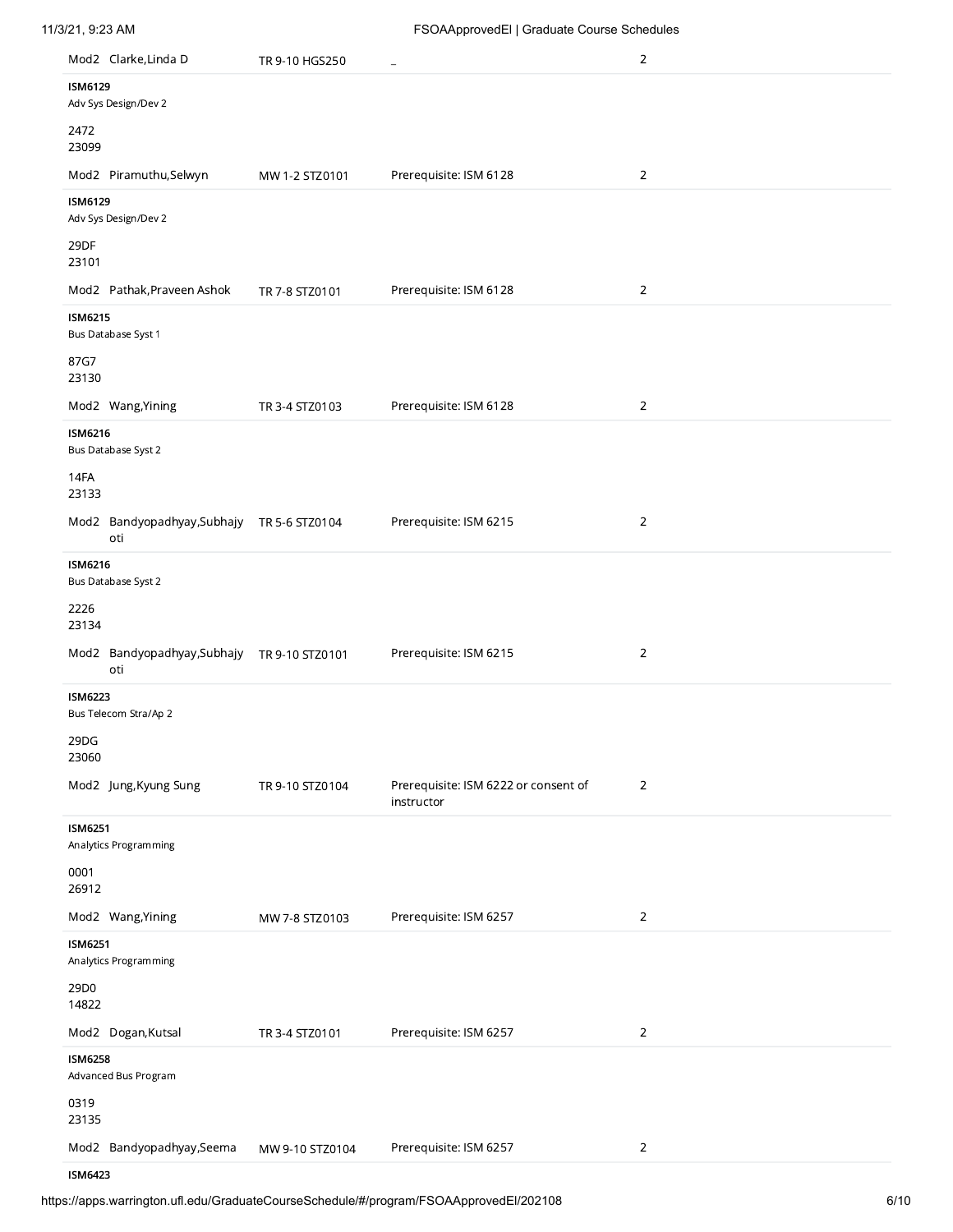| 11/3/21, 9:23 AM |  |
|------------------|--|
|                  |  |

|                | Mod2 Clarke, Linda D                              | TR 9-10 HGS250  | ÷                                                  | $\overline{2}$ |
|----------------|---------------------------------------------------|-----------------|----------------------------------------------------|----------------|
| <b>ISM6129</b> | Adv Sys Design/Dev 2                              |                 |                                                    |                |
| 2472<br>23099  |                                                   |                 |                                                    |                |
|                | Mod2 Piramuthu,Selwyn                             | MW 1-2 STZ0101  | Prerequisite: ISM 6128                             | $\overline{2}$ |
| <b>ISM6129</b> | Adv Sys Design/Dev 2                              |                 |                                                    |                |
| 29DF<br>23101  |                                                   |                 |                                                    |                |
|                | Mod2 Pathak, Praveen Ashok                        | TR 7-8 STZ0101  | Prerequisite: ISM 6128                             | $\overline{2}$ |
| <b>ISM6215</b> | Bus Database Syst 1                               |                 |                                                    |                |
| 87G7<br>23130  |                                                   |                 |                                                    |                |
|                | Mod2 Wang, Yining                                 | TR 3-4 STZ0103  | Prerequisite: ISM 6128                             | $\overline{2}$ |
| <b>ISM6216</b> | Bus Database Syst 2                               |                 |                                                    |                |
| 14FA<br>23133  |                                                   |                 |                                                    |                |
|                | Mod2 Bandyopadhyay, Subhajy TR 5-6 STZ0104<br>oti |                 | Prerequisite: ISM 6215                             | $\overline{2}$ |
| <b>ISM6216</b> | Bus Database Syst 2                               |                 |                                                    |                |
| 2226<br>23134  |                                                   |                 |                                                    |                |
|                | Mod2 Bandyopadhyay,Subhajy TR 9-10 STZ0101<br>oti |                 | Prerequisite: ISM 6215                             | $\overline{2}$ |
| <b>ISM6223</b> | Bus Telecom Stra/Ap 2                             |                 |                                                    |                |
| 29DG<br>23060  |                                                   |                 |                                                    |                |
|                | Mod2 Jung, Kyung Sung                             | TR 9-10 STZ0104 | Prerequisite: ISM 6222 or consent of<br>instructor | $\overline{2}$ |
| <b>ISM6251</b> | Analytics Programming                             |                 |                                                    |                |
| 0001<br>26912  |                                                   |                 |                                                    |                |
|                | Mod2 Wang, Yining                                 | MW 7-8 STZ0103  | Prerequisite: ISM 6257                             | $\sqrt{2}$     |
| <b>ISM6251</b> | Analytics Programming                             |                 |                                                    |                |
| 29D0<br>14822  |                                                   |                 |                                                    |                |
|                | Mod2 Dogan, Kutsal                                | TR 3-4 STZ0101  | Prerequisite: ISM 6257                             | $\sqrt{2}$     |
| <b>ISM6258</b> | Advanced Bus Program                              |                 |                                                    |                |
| 0319<br>23135  |                                                   |                 |                                                    |                |
|                | Mod2 Bandyopadhyay, Seema                         | MW 9-10 STZ0104 | Prerequisite: ISM 6257                             | $\sqrt{2}$     |

ISM6423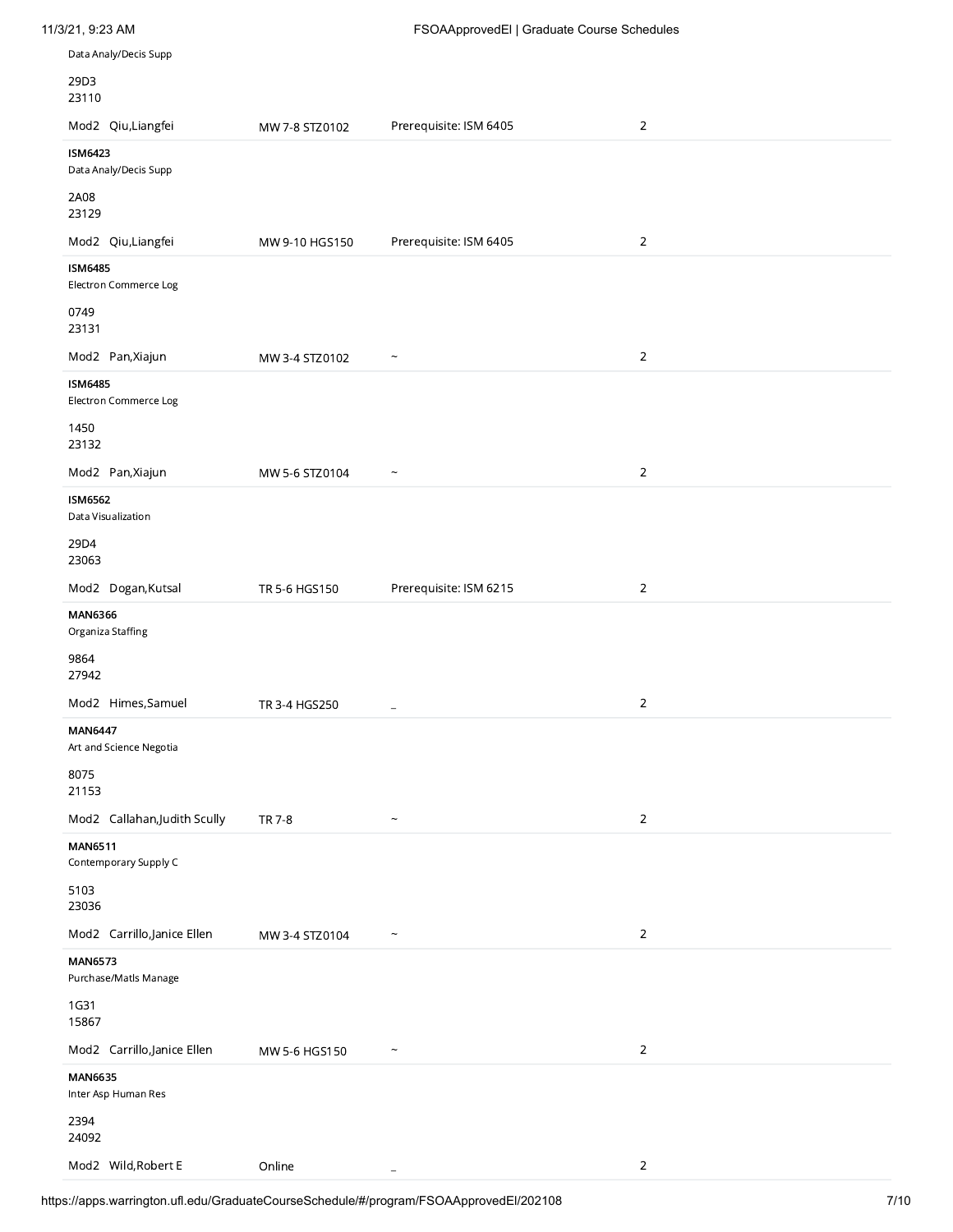| 11/3/21, 9:23 AM<br>Data Analy/Decis Supp                       |                | FSOAApprovedEl   Graduate Course Schedules |                |  |
|-----------------------------------------------------------------|----------------|--------------------------------------------|----------------|--|
| 29D3                                                            |                |                                            |                |  |
| 23110<br>Mod2 Qiu, Liangfei                                     | MW 7-8 STZ0102 | Prerequisite: ISM 6405                     | $\overline{2}$ |  |
| <b>ISM6423</b><br>Data Analy/Decis Supp                         |                |                                            |                |  |
| 2A08<br>23129<br>Mod2 Qiu, Liangfei                             | MW 9-10 HGS150 | Prerequisite: ISM 6405                     | $\overline{2}$ |  |
| <b>ISM6485</b><br>Electron Commerce Log<br>0749                 |                |                                            |                |  |
| 23131<br>Mod2 Pan, Xiajun                                       | MW 3-4 STZ0102 | $\widetilde{\phantom{m}}$                  | $\overline{2}$ |  |
| <b>ISM6485</b><br>Electron Commerce Log<br>1450<br>23132        |                |                                            |                |  |
| Mod2 Pan, Xiajun<br><b>ISM6562</b>                              | MW 5-6 STZ0104 | $\widetilde{\phantom{m}}$                  | $\overline{2}$ |  |
| Data Visualization<br>29D4<br>23063                             |                |                                            |                |  |
| Mod2 Dogan, Kutsal<br><b>MAN6366</b><br>Organiza Staffing       | TR 5-6 HGS150  | Prerequisite: ISM 6215                     | $\overline{2}$ |  |
| 9864<br>27942                                                   |                |                                            |                |  |
| Mod2 Himes, Samuel<br><b>MAN6447</b><br>Art and Science Negotia | TR 3-4 HGS250  | $\equiv$                                   | $\sqrt{2}$     |  |
| 8075<br>21153<br>Mod2 Callahan, Judith Scully                   | TR 7-8         | $\widetilde{\phantom{m}}$                  | $\overline{2}$ |  |
| <b>MAN6511</b><br>Contemporary Supply C                         |                |                                            |                |  |
| 5103<br>23036<br>Mod2 Carrillo,Janice Ellen                     | MW 3-4 STZ0104 | $\widetilde{\phantom{m}}$                  | $\overline{2}$ |  |
| <b>MAN6573</b><br>Purchase/Matls Manage<br>1G31                 |                |                                            |                |  |
| 15867<br>Mod2 Carrillo,Janice Ellen                             | MW 5-6 HGS150  | $\widetilde{\phantom{m}}$                  | $\overline{2}$ |  |
| <b>MAN6635</b><br>Inter Asp Human Res<br>2394<br>24092          |                |                                            |                |  |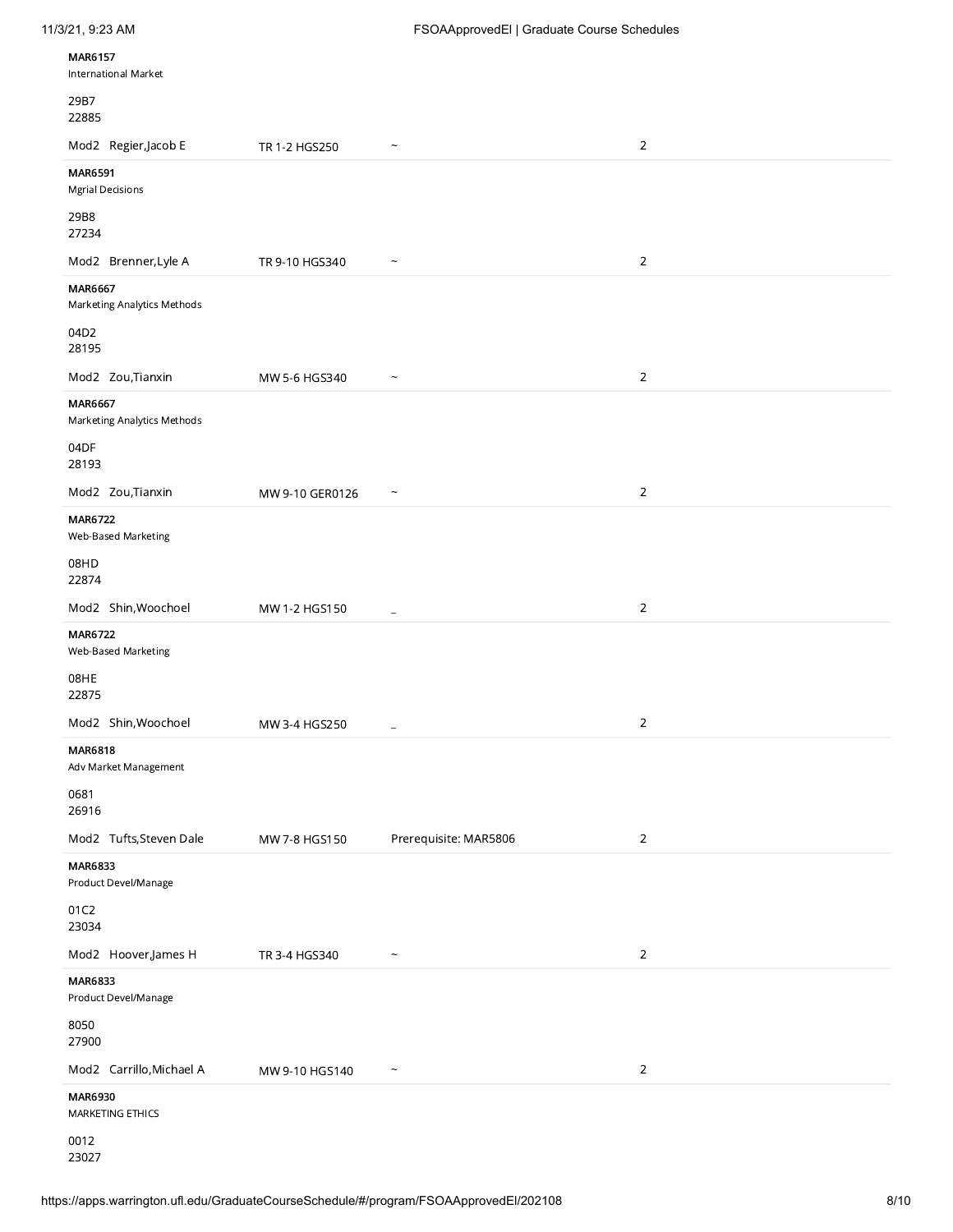| 11/3/21, 9:23 AM |  |
|------------------|--|
|                  |  |

| <b>MAR6157</b><br>International Market        |                 |                           |                |
|-----------------------------------------------|-----------------|---------------------------|----------------|
| 29B7<br>22885                                 |                 |                           |                |
| Mod2 Regier, Jacob E                          | TR 1-2 HGS250   | $\widetilde{\phantom{m}}$ | $\overline{2}$ |
| <b>MAR6591</b><br><b>Mgrial Decisions</b>     |                 |                           |                |
| 29B8<br>27234                                 |                 |                           |                |
| Mod2 Brenner, Lyle A                          | TR 9-10 HGS340  | $\tilde{}$                | $\sqrt{2}$     |
| MAR6667<br>Marketing Analytics Methods        |                 |                           |                |
| 04D2<br>28195                                 |                 |                           |                |
| Mod2 Zou, Tianxin                             | MW 5-6 HGS340   | $\widetilde{\phantom{m}}$ | $\overline{2}$ |
| <b>MAR6667</b><br>Marketing Analytics Methods |                 |                           |                |
| 04DF<br>28193                                 |                 |                           |                |
| Mod2 Zou, Tianxin                             | MW 9-10 GER0126 | $\tilde{\phantom{a}}$     | $\sqrt{2}$     |
| <b>MAR6722</b><br>Web-Based Marketing         |                 |                           |                |
| 08HD<br>22874                                 |                 |                           |                |
| Mod2 Shin, Woochoel                           | MW 1-2 HGS150   | $\overline{\phantom{a}}$  | $\sqrt{2}$     |
| <b>MAR6722</b><br>Web-Based Marketing         |                 |                           |                |
| 08HE<br>22875                                 |                 |                           |                |
| Mod2 Shin, Woochoel                           | MW 3-4 HGS250   | $\overline{\phantom{m}}$  | $\overline{2}$ |
| MAR6818<br>Adv Market Management              |                 |                           |                |
| 0681<br>26916                                 |                 |                           |                |
| Mod2 Tufts, Steven Dale                       | MW 7-8 HGS150   | Prerequisite: MAR5806     | $\sqrt{2}$     |
| MAR6833<br>Product Devel/Manage               |                 |                           |                |
| 01C2<br>23034                                 |                 |                           |                |
| Mod2 Hoover, James H                          | TR 3-4 HGS340   | $\widetilde{\phantom{m}}$ | $\overline{2}$ |
| MAR6833<br>Product Devel/Manage               |                 |                           |                |
| 8050<br>27900                                 |                 |                           |                |
| Mod2 Carrillo, Michael A                      | MW 9-10 HGS140  | $\widetilde{\phantom{m}}$ | $\overline{2}$ |
| MAR6930<br>MARKETING ETHICS                   |                 |                           |                |
| 0012                                          |                 |                           |                |

23027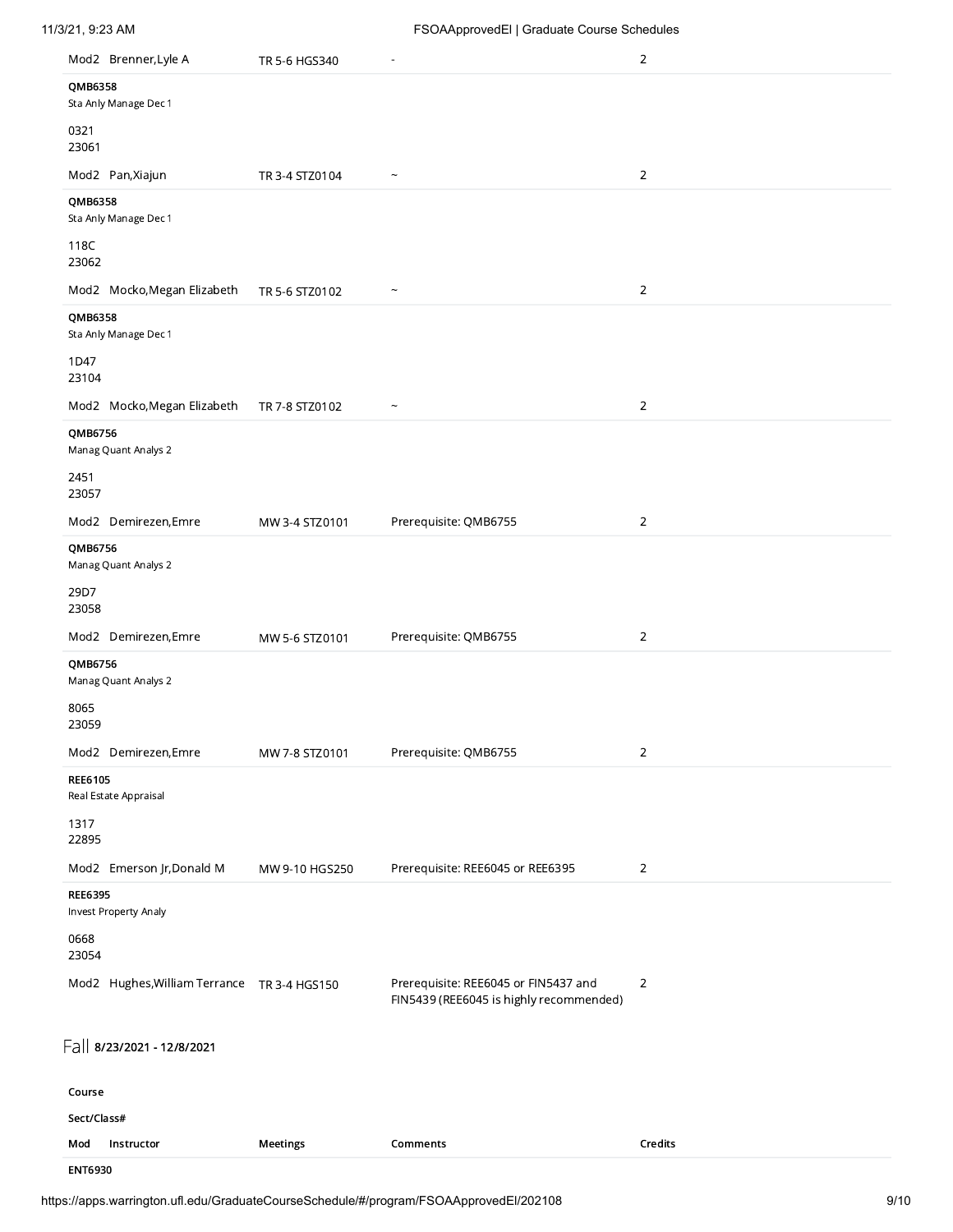| Mod2 Brenner, Lyle A                        | TR 5-6 HGS340  |                                                                                 | $\overline{2}$ |
|---------------------------------------------|----------------|---------------------------------------------------------------------------------|----------------|
| QMB6358<br>Sta Anly Manage Dec 1            |                |                                                                                 |                |
| 0321<br>23061                               |                |                                                                                 |                |
| Mod2 Pan, Xiajun                            | TR 3-4 STZ0104 | $\tilde{\phantom{a}}$                                                           | $\overline{2}$ |
| QMB6358<br>Sta Anly Manage Dec 1            |                |                                                                                 |                |
| 118C<br>23062                               |                |                                                                                 |                |
| Mod2 Mocko, Megan Elizabeth                 | TR 5-6 STZ0102 | $\overline{ }$                                                                  | $\overline{c}$ |
| QMB6358<br>Sta Anly Manage Dec 1            |                |                                                                                 |                |
| 1D47<br>23104                               |                |                                                                                 |                |
| Mod2 Mocko, Megan Elizabeth                 | TR 7-8 STZ0102 |                                                                                 | $\overline{2}$ |
| QMB6756<br>Manag Quant Analys 2             |                |                                                                                 |                |
| 2451<br>23057                               |                |                                                                                 |                |
| Mod2 Demirezen,Emre                         | MW 3-4 STZ0101 | Prerequisite: QMB6755                                                           | 2              |
| QMB6756<br>Manag Quant Analys 2             |                |                                                                                 |                |
| 29D7<br>23058                               |                |                                                                                 |                |
| Mod2 Demirezen, Emre                        | MW 5-6 STZ0101 | Prerequisite: QMB6755                                                           | $\overline{2}$ |
| QMB6756<br>Manag Quant Analys 2             |                |                                                                                 |                |
| 8065<br>23059                               |                |                                                                                 |                |
| Mod2 Demirezen, Emre                        | MW 7-8 STZ0101 | Prerequisite: QMB6755                                                           | $\overline{2}$ |
| <b>REE6105</b><br>Real Estate Appraisal     |                |                                                                                 |                |
| 1317<br>22895                               |                |                                                                                 |                |
| Mod2 Emerson Jr, Donald M                   | MW 9-10 HGS250 | Prerequisite: REE6045 or REE6395                                                | 2              |
| <b>REE6395</b><br>Invest Property Analy     |                |                                                                                 |                |
| 0668<br>23054                               |                |                                                                                 |                |
| Mod2 Hughes, William Terrance TR 3-4 HGS150 |                | Prerequisite: REE6045 or FIN5437 and<br>FIN5439 (REE6045 is highly recommended) | 2              |
| Fall 8/23/2021 - 12/8/2021                  |                |                                                                                 |                |
| Course                                      |                |                                                                                 |                |
| Sect/Class#                                 |                |                                                                                 |                |
| Instructor<br>Mod                           | Meetings       | Comments                                                                        | Credits        |

ENT6930